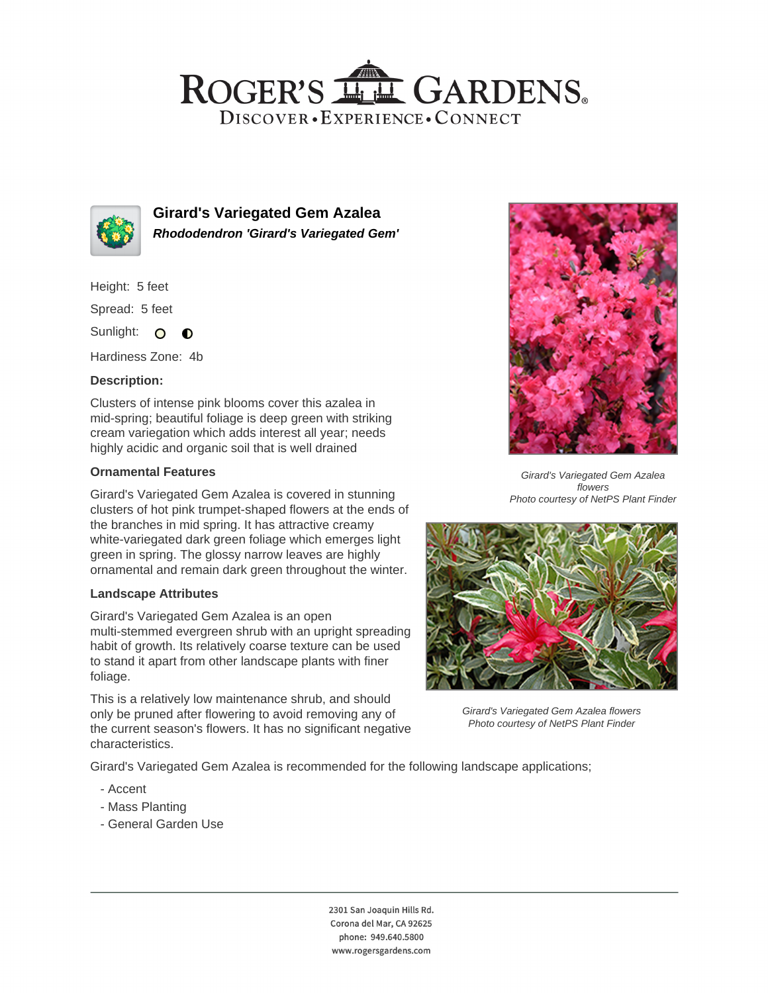## ROGER'S LL GARDENS. DISCOVER · EXPERIENCE · CONNECT



**Girard's Variegated Gem Azalea Rhododendron 'Girard's Variegated Gem'**

Height: 5 feet

Spread: 5 feet

Sunlight: O  $\bullet$ 

Hardiness Zone: 4b

### **Description:**

Clusters of intense pink blooms cover this azalea in mid-spring; beautiful foliage is deep green with striking cream variegation which adds interest all year; needs highly acidic and organic soil that is well drained

#### **Ornamental Features**

Girard's Variegated Gem Azalea is covered in stunning clusters of hot pink trumpet-shaped flowers at the ends of the branches in mid spring. It has attractive creamy white-variegated dark green foliage which emerges light green in spring. The glossy narrow leaves are highly ornamental and remain dark green throughout the winter.

#### **Landscape Attributes**

Girard's Variegated Gem Azalea is an open multi-stemmed evergreen shrub with an upright spreading habit of growth. Its relatively coarse texture can be used to stand it apart from other landscape plants with finer foliage.

This is a relatively low maintenance shrub, and should only be pruned after flowering to avoid removing any of the current season's flowers. It has no significant negative characteristics.



Girard's Variegated Gem Azalea flowers Photo courtesy of NetPS Plant Finder



Girard's Variegated Gem Azalea flowers Photo courtesy of NetPS Plant Finder

Girard's Variegated Gem Azalea is recommended for the following landscape applications;

- Accent
- Mass Planting
- General Garden Use

2301 San Joaquin Hills Rd. Corona del Mar, CA 92625 phone: 949.640.5800 www.rogersgardens.com